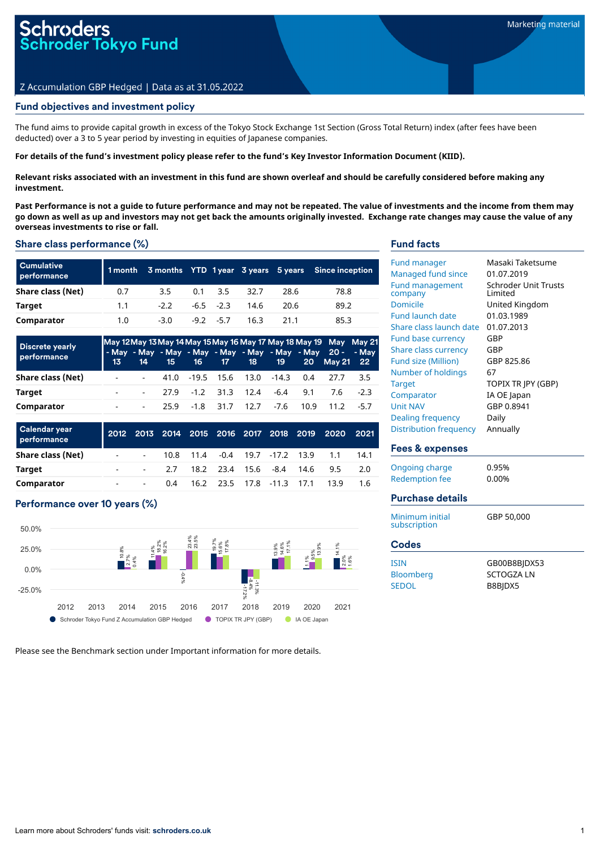# Fund objectives and investment policy

The fund aims to provide capital growth in excess of the Tokyo Stock Exchange 1st Section (Gross Total Return) index (after fees have been deducted) over a 3 to 5 year period by investing in equities of Japanese companies.

### For details of the fund's investment policy please refer to the fund's Key Investor Information Document (KIID).

Relevant risks associated with an investment in this fund are shown overleaf and should be carefully considered before making any **investment.**

Past Performance is not a quide to future performance and may not be repeated. The value of investments and the income from them may go down as well as up and investors may not get back the amounts originally invested. Exchange rate changes may cause the value of any **overseas investments to rise or fall.**

### Share class performance (%)

| <b>Cumulative</b><br>performance |     |        |                    |      |      | 1 month 3 months YTD 1 year 3 years 5 years Since inception |
|----------------------------------|-----|--------|--------------------|------|------|-------------------------------------------------------------|
| Share class (Net)                | 0.7 | 3.5    | $0.1 \quad 3.5$    | 32.7 | 28.6 | 78.8                                                        |
| Target                           | 1.1 | $-2.2$ | $-6.5$ $-2.3$ 14.6 |      | 20.6 | 89.2                                                        |
| Comparator                       | 1.0 | $-3.0$ | $-9.2 -5.7$        | 16.3 | 21.1 | 85.3                                                        |

| <b>Discrete yearly</b><br>performance | May 12 May 13 May 14 May 15 May 16 May 17 May 18 May 19 May May 21<br>- May - May - May - May - May - May - May - May 20 - - May |  |  |                                            | 13 14 15 16 17 18 19 20 May 21 22                |      |
|---------------------------------------|----------------------------------------------------------------------------------------------------------------------------------|--|--|--------------------------------------------|--------------------------------------------------|------|
| Share class (Net)                     |                                                                                                                                  |  |  | $-41.0$ $-19.5$ 15.6 13.0 $-14.3$ 0.4 27.7 |                                                  | -3.5 |
| Target                                |                                                                                                                                  |  |  |                                            | $-27.9$ $-1.2$ $31.3$ $12.4$ $-6.4$ $9.1$ $7.6$  | -23  |
| Comparator                            |                                                                                                                                  |  |  |                                            | $-25.9$ $-1.8$ 31.7 12.7 $-7.6$ 10.9 11.2 $-5.7$ |      |

| Calendar year<br>performance |    |                |                                |  |  |                                    | 2012 2013 2014 2015 2016 2017 2018 2019 2020 2021 |      |
|------------------------------|----|----------------|--------------------------------|--|--|------------------------------------|---------------------------------------------------|------|
| Share class (Net)            |    |                |                                |  |  |                                    | - - 10.8 11.4 -0.4 19.7 -17.2 13.9 1.1            | 14.1 |
| Target                       | ٠  |                | - 2.7 18.2 23.4 15.6 -8.4 14.6 |  |  |                                    | 9.5                                               | -2.0 |
| Comparator                   | ٠. | <b>Service</b> |                                |  |  | 0.4 16.2 23.5 17.8 -11.3 17.1 13.9 |                                                   | 1.6  |

# Performance over 10 years (%)



Please see the Benchmark section under Important information for more details.

## Fund facts

| <b>Fund management</b><br>company<br>Domicile<br><b>Fund launch date</b><br>Share class launch date<br><b>Fund base currency</b><br>GBP<br>GBP<br>Share class currency<br><b>Fund size (Million)</b><br>Number of holdings<br>67<br><b>Target</b><br>Comparator<br><b>Unit NAV</b><br>Dealing frequency<br>Daily | Schroder Unit Trusts<br>I imited<br>United Kingdom<br>01.03.1989<br>01.07.2013<br>GBP 825.86<br>TOPIX TR IPY (GBP)<br>IA OE Japan<br>GBP 0.8941 |
|------------------------------------------------------------------------------------------------------------------------------------------------------------------------------------------------------------------------------------------------------------------------------------------------------------------|-------------------------------------------------------------------------------------------------------------------------------------------------|
| Distribution frequency                                                                                                                                                                                                                                                                                           | Annually                                                                                                                                        |

## Fees & expenses

| Ongoing charge | 0.95% |
|----------------|-------|
| Redemption fee | 0.00% |

# Purchase details

| Minimum initial<br>subscription | GBP 50,000       |
|---------------------------------|------------------|
| <b>Codes</b>                    |                  |
| <b>ISIN</b>                     | GB00B8BIDX53     |
| <b>Bloomberg</b>                | <b>SCTOGZALN</b> |
| <b>SEDOL</b>                    | B8BIDX5          |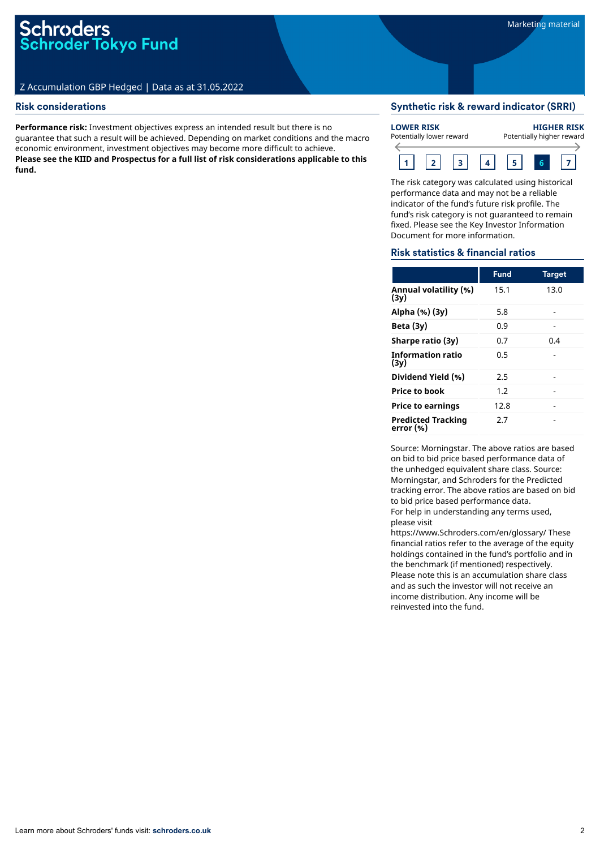## Risk considerations

**Performance risk:** Investment objectives express an intended result but there is no guarantee that such a result will be achieved. Depending on market conditions and the macro economic environment, investment objectives may become more difficult to achieve. **Please see the KIID and Prospectus for a full list of risk considerations applicable to this fund.**

## Synthetic risk & reward indicator (SRRI)



The risk category was calculated using historical performance data and may not be a reliable indicator of the fund's future risk profile. The fund's risk category is not guaranteed to remain fixed. Please see the Key Investor Information Document for more information.

### Risk statistics & financial ratios

|                                        | <b>Fund</b> | <b>Target</b> |
|----------------------------------------|-------------|---------------|
| Annual volatility (%)<br>(3v)          | 15.1        | 13.0          |
| Alpha (%) (3y)                         | 5.8         |               |
| Beta $(3y)$                            | 0.9         |               |
| Sharpe ratio (3y)                      | 0.7         | 0.4           |
| Information ratio<br>(3v)              | 0.5         |               |
| Dividend Yield (%)                     | 2.5         |               |
| <b>Price to book</b>                   | 1.2         |               |
| <b>Price to earnings</b>               | 12.8        |               |
| <b>Predicted Tracking</b><br>error (%) | 2.7         |               |

Source: Morningstar. The above ratios are based on bid to bid price based performance data of the unhedged equivalent share class. Source: Morningstar, and Schroders for the Predicted tracking error. The above ratios are based on bid to bid price based performance data. For help in understanding any terms used, please visit

https://www.Schroders.com/en/glossary/ These financial ratios refer to the average of the equity holdings contained in the fund's portfolio and in the benchmark (if mentioned) respectively. Please note this is an accumulation share class and as such the investor will not receive an income distribution. Any income will be reinvested into the fund.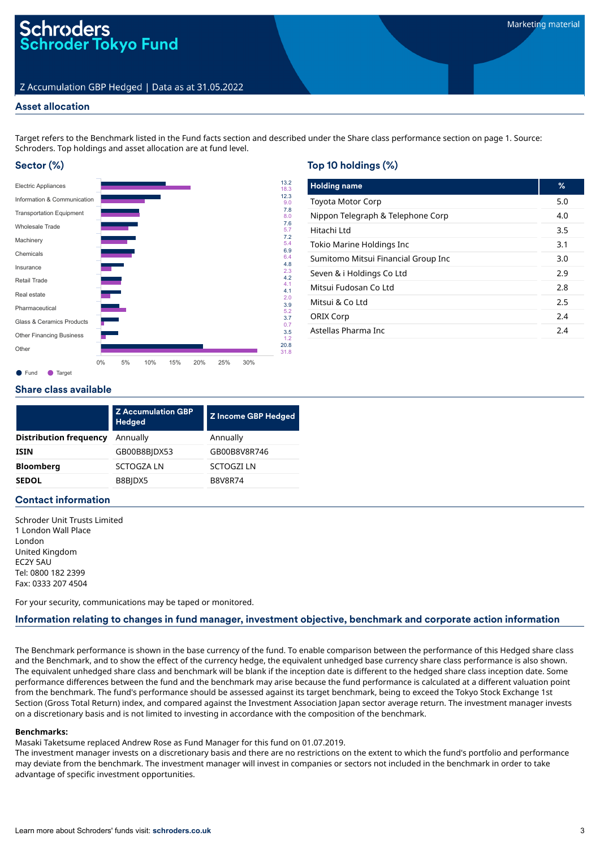### Asset allocation

Target refers to the Benchmark listed in the Fund facts section and described under the Share class performance section on page 1. Source: Schroders. Top holdings and asset allocation are at fund level.

# Sector (%)



# Top 10 holdings (%)

| <b>Holding name</b>                 | ℅   |
|-------------------------------------|-----|
| <b>Toyota Motor Corp</b>            | 5.0 |
| Nippon Telegraph & Telephone Corp   | 4.0 |
| Hitachi I td                        | 3.5 |
| Tokio Marine Holdings Inc           | 3.1 |
| Sumitomo Mitsui Financial Group Inc | 3.O |
| Seven & i Holdings Co Ltd           | 2.9 |
| Mitsui Fudosan Co Ltd               | 2.8 |
| Mitsui & Co Ltd                     | 2.5 |
| <b>ORIX Corp</b>                    | 2.4 |
| Astellas Pharma Inc                 | 2.4 |

### Share class available

|                               | <b>Z</b> Accumulation GBP<br><b>Hedged</b> | <b>Z Income GBP Hedged</b> |  |  |
|-------------------------------|--------------------------------------------|----------------------------|--|--|
| <b>Distribution frequency</b> | Annually                                   | Annually                   |  |  |
| <b>ISIN</b>                   | GB00B8BIDX53                               | GB00B8V8R746               |  |  |
| <b>Bloomberg</b>              | <b>SCTOGZALN</b>                           | <b>SCTOGZI LN</b>          |  |  |
| <b>SEDOL</b>                  | B8BIDX5                                    | <b>B8V8R74</b>             |  |  |
|                               |                                            |                            |  |  |

### Contact information

Schroder Unit Trusts Limited 1 London Wall Place London United Kingdom EC2Y 5AU Tel: 0800 182 2399 Fax: 0333 207 4504

For your security, communications may be taped or monitored.

## Information relating to changes in fund manager, investment objective, benchmark and corporate action information

The Benchmark performance is shown in the base currency of the fund. To enable comparison between the performance of this Hedged share class and the Benchmark, and to show the effect of the currency hedge, the equivalent unhedged base currency share class performance is also shown. The equivalent unhedged share class and benchmark will be blank if the inception date is different to the hedged share class inception date. Some performance differences between the fund and the benchmark may arise because the fund performance is calculated at a different valuation point from the benchmark. The fund's performance should be assessed against its target benchmark, being to exceed the Tokyo Stock Exchange 1st Section (Gross Total Return) index, and compared against the Investment Association Japan sector average return. The investment manager invests on a discretionary basis and is not limited to investing in accordance with the composition of the benchmark.

#### **Benchmarks:**

Masaki Taketsume replaced Andrew Rose as Fund Manager for this fund on 01.07.2019.

The investment manager invests on a discretionary basis and there are no restrictions on the extent to which the fund's portfolio and performance may deviate from the benchmark. The investment manager will invest in companies or sectors not included in the benchmark in order to take advantage of specific investment opportunities.